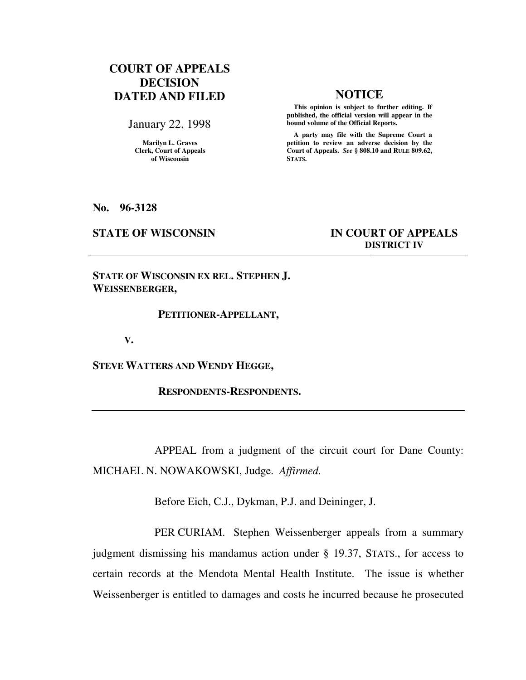# **COURT OF APPEALS DECISION DATED AND FILED NOTICE**

January 22, 1998

**Marilyn L. Graves Clerk, Court of Appeals of Wisconsin** 

 **This opinion is subject to further editing. If published, the official version will appear in the bound volume of the Official Reports.**

 **A party may file with the Supreme Court a petition to review an adverse decision by the Court of Appeals.** *See* **§ 808.10 and RULE 809.62, STATS.** 

**No. 96-3128** 

## **STATE OF WISCONSIN IN COURT OF APPEALS DISTRICT IV**

**STATE OF WISCONSIN EX REL. STEPHEN J. WEISSENBERGER,** 

### **PETITIONER-APPELLANT,**

 **V.** 

**STEVE WATTERS AND WENDY HEGGE,** 

 **RESPONDENTS-RESPONDENTS.** 

APPEAL from a judgment of the circuit court for Dane County: MICHAEL N. NOWAKOWSKI, Judge. *Affirmed.*

Before Eich, C.J., Dykman, P.J. and Deininger, J.

PER CURIAM. Stephen Weissenberger appeals from a summary judgment dismissing his mandamus action under § 19.37, STATS., for access to certain records at the Mendota Mental Health Institute. The issue is whether Weissenberger is entitled to damages and costs he incurred because he prosecuted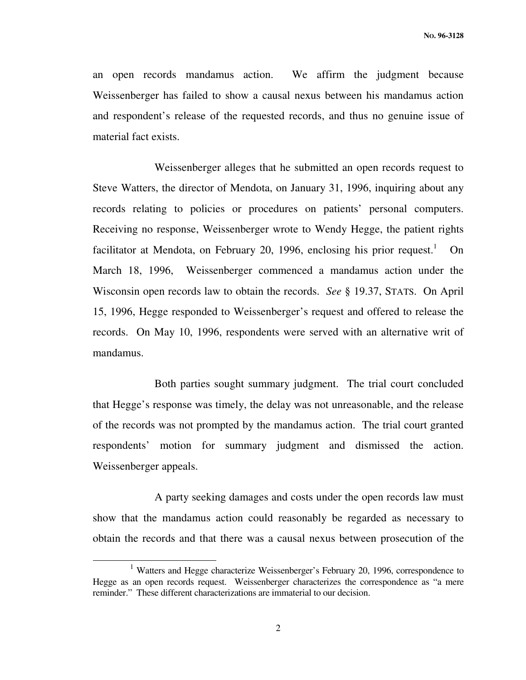an open records mandamus action. We affirm the judgment because Weissenberger has failed to show a causal nexus between his mandamus action and respondent's release of the requested records, and thus no genuine issue of material fact exists.

Weissenberger alleges that he submitted an open records request to Steve Watters, the director of Mendota, on January 31, 1996, inquiring about any records relating to policies or procedures on patients' personal computers. Receiving no response, Weissenberger wrote to Wendy Hegge, the patient rights facilitator at Mendota, on February 20, 1996, enclosing his prior request.<sup>1</sup> On March 18, 1996, Weissenberger commenced a mandamus action under the Wisconsin open records law to obtain the records. *See* § 19.37, STATS. On April 15, 1996, Hegge responded to Weissenberger's request and offered to release the records. On May 10, 1996, respondents were served with an alternative writ of mandamus.

Both parties sought summary judgment. The trial court concluded that Hegge's response was timely, the delay was not unreasonable, and the release of the records was not prompted by the mandamus action. The trial court granted respondents' motion for summary judgment and dismissed the action. Weissenberger appeals.

A party seeking damages and costs under the open records law must show that the mandamus action could reasonably be regarded as necessary to obtain the records and that there was a causal nexus between prosecution of the

j

<sup>&</sup>lt;sup>1</sup> Watters and Hegge characterize Weissenberger's February 20, 1996, correspondence to Hegge as an open records request. Weissenberger characterizes the correspondence as "a mere reminder." These different characterizations are immaterial to our decision.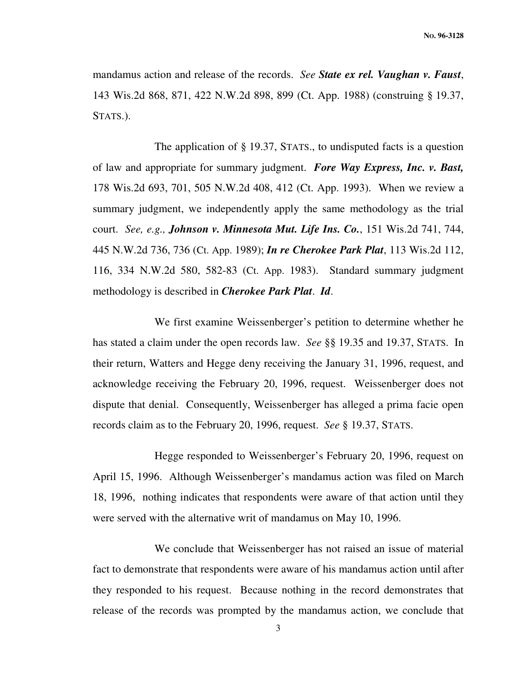mandamus action and release of the records. *See State ex rel. Vaughan v. Faust*, 143 Wis.2d 868, 871, 422 N.W.2d 898, 899 (Ct. App. 1988) (construing § 19.37, STATS.).

The application of § 19.37, STATS., to undisputed facts is a question of law and appropriate for summary judgment. *Fore Way Express, Inc. v. Bast,*  178 Wis.2d 693, 701, 505 N.W.2d 408, 412 (Ct. App. 1993). When we review a summary judgment, we independently apply the same methodology as the trial court. *See, e.g., Johnson v. Minnesota Mut. Life Ins. Co.*, 151 Wis.2d 741, 744, 445 N.W.2d 736, 736 (Ct. App. 1989); *In re Cherokee Park Plat*, 113 Wis.2d 112, 116, 334 N.W.2d 580, 582-83 (Ct. App. 1983). Standard summary judgment methodology is described in *Cherokee Park Plat*. *Id*.

We first examine Weissenberger's petition to determine whether he has stated a claim under the open records law. *See* §§ 19.35 and 19.37, STATS. In their return, Watters and Hegge deny receiving the January 31, 1996, request, and acknowledge receiving the February 20, 1996, request. Weissenberger does not dispute that denial. Consequently, Weissenberger has alleged a prima facie open records claim as to the February 20, 1996, request. *See* § 19.37, STATS.

Hegge responded to Weissenberger's February 20, 1996, request on April 15, 1996. Although Weissenberger's mandamus action was filed on March 18, 1996, nothing indicates that respondents were aware of that action until they were served with the alternative writ of mandamus on May 10, 1996.

We conclude that Weissenberger has not raised an issue of material fact to demonstrate that respondents were aware of his mandamus action until after they responded to his request. Because nothing in the record demonstrates that release of the records was prompted by the mandamus action, we conclude that